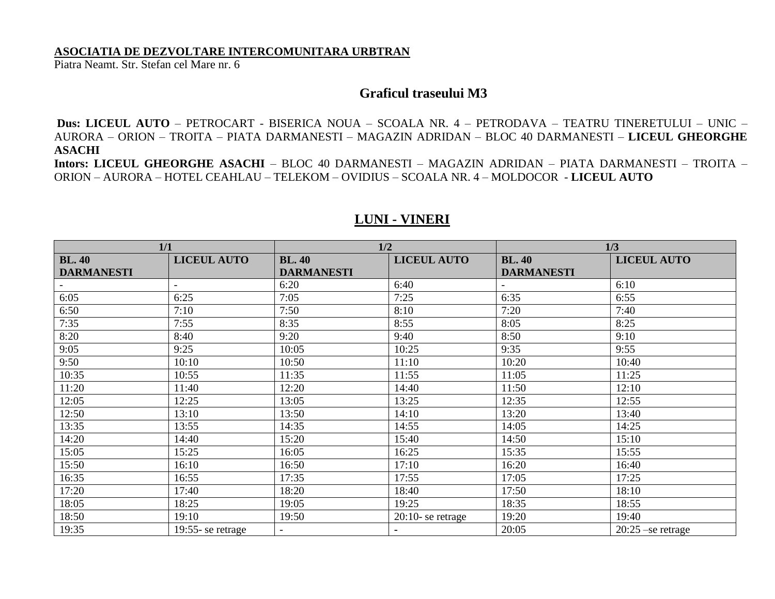## **ASOCIATIA DE DEZVOLTARE INTERCOMUNITARA URBTRAN**

Piatra Neamt. Str. Stefan cel Mare nr. 6

## **Graficul traseului M3**

**Dus: LICEUL AUTO** – PETROCART - BISERICA NOUA – SCOALA NR. 4 – PETRODAVA – TEATRU TINERETULUI – UNIC – AURORA – ORION – TROITA – PIATA DARMANESTI – MAGAZIN ADRIDAN – BLOC 40 DARMANESTI – **LICEUL GHEORGHE ASACHI**

**Intors: LICEUL GHEORGHE ASACHI** – BLOC 40 DARMANESTI – MAGAZIN ADRIDAN – PIATA DARMANESTI – TROITA – ORION – AURORA – HOTEL CEAHLAU – TELEKOM – OVIDIUS – SCOALA NR. 4 – MOLDOCOR - **LICEUL AUTO**

| 1/1                                |                    | 1/2                                |                      | 1/3                                |                     |
|------------------------------------|--------------------|------------------------------------|----------------------|------------------------------------|---------------------|
| <b>BL. 40</b><br><b>DARMANESTI</b> | <b>LICEUL AUTO</b> | <b>BL. 40</b><br><b>DARMANESTI</b> | <b>LICEUL AUTO</b>   | <b>BL. 40</b><br><b>DARMANESTI</b> | <b>LICEUL AUTO</b>  |
|                                    |                    | 6:20                               | 6:40                 |                                    | 6:10                |
| 6:05                               | 6:25               | 7:05                               | 7:25                 | 6:35                               | 6:55                |
| 6:50                               | 7:10               | 7:50                               | 8:10                 | 7:20                               | 7:40                |
| 7:35                               | 7:55               | 8:35                               | 8:55                 | 8:05                               | 8:25                |
| 8:20                               | 8:40               | 9:20                               | 9:40                 | 8:50                               | 9:10                |
| 9:05                               | 9:25               | 10:05                              | 10:25                | 9:35                               | 9:55                |
| 9:50                               | 10:10              | 10:50                              | 11:10                | 10:20                              | 10:40               |
| 10:35                              | 10:55              | 11:35                              | 11:55                | 11:05                              | 11:25               |
| 11:20                              | 11:40              | 12:20                              | 14:40                | 11:50                              | 12:10               |
| 12:05                              | 12:25              | 13:05                              | 13:25                | 12:35                              | 12:55               |
| 12:50                              | 13:10              | 13:50                              | 14:10                | 13:20                              | 13:40               |
| 13:35                              | 13:55              | 14:35                              | 14:55                | 14:05                              | 14:25               |
| 14:20                              | 14:40              | 15:20                              | 15:40                | 14:50                              | 15:10               |
| 15:05                              | 15:25              | 16:05                              | 16:25                | 15:35                              | 15:55               |
| 15:50                              | 16:10              | 16:50                              | 17:10                | 16:20                              | 16:40               |
| 16:35                              | 16:55              | 17:35                              | 17:55                | 17:05                              | 17:25               |
| 17:20                              | 17:40              | 18:20                              | 18:40                | 17:50                              | 18:10               |
| 18:05                              | 18:25              | 19:05                              | 19:25                | 18:35                              | 18:55               |
| 18:50                              | 19:10              | 19:50                              | $20:10$ - se retrage | 19:20                              | 19:40               |
| 19:35                              | 19:55-se retrage   |                                    | $\blacksquare$       | 20:05                              | $20:25$ -se retrage |

## **LUNI - VINERI**